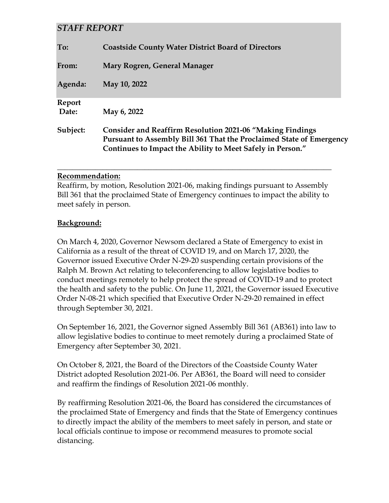# *STAFF REPORT*

| To:             | <b>Coastside County Water District Board of Directors</b>                                                                                                                                              |  |
|-----------------|--------------------------------------------------------------------------------------------------------------------------------------------------------------------------------------------------------|--|
| From:           | Mary Rogren, General Manager                                                                                                                                                                           |  |
| Agenda:         | May 10, 2022                                                                                                                                                                                           |  |
| Report<br>Date: | May 6, 2022                                                                                                                                                                                            |  |
| Subject:        | <b>Consider and Reaffirm Resolution 2021-06 "Making Findings</b><br>Pursuant to Assembly Bill 361 That the Proclaimed State of Emergency<br>Continues to Impact the Ability to Meet Safely in Person." |  |

## **Recommendation:**

Reaffirm, by motion, Resolution 2021-06, making findings pursuant to Assembly Bill 361 that the proclaimed State of Emergency continues to impact the ability to meet safely in person.

**\_\_\_\_\_\_\_\_\_\_\_\_\_\_\_\_\_\_\_\_\_\_\_\_\_\_\_\_\_\_\_\_\_\_\_\_\_\_\_\_\_\_\_\_\_\_\_\_\_\_\_\_\_\_\_\_\_\_\_\_\_\_\_\_\_\_\_\_\_\_\_\_**

## **Background:**

On March 4, 2020, Governor Newsom declared a State of Emergency to exist in California as a result of the threat of COVID 19, and on March 17, 2020, the Governor issued Executive Order N-29-20 suspending certain provisions of the Ralph M. Brown Act relating to teleconferencing to allow legislative bodies to conduct meetings remotely to help protect the spread of COVID-19 and to protect the health and safety to the public. On June 11, 2021, the Governor issued Executive Order N-08-21 which specified that Executive Order N-29-20 remained in effect through September 30, 2021.

On September 16, 2021, the Governor signed Assembly Bill 361 (AB361) into law to allow legislative bodies to continue to meet remotely during a proclaimed State of Emergency after September 30, 2021.

On October 8, 2021, the Board of the Directors of the Coastside County Water District adopted Resolution 2021-06. Per AB361, the Board will need to consider and reaffirm the findings of Resolution 2021-06 monthly.

By reaffirming Resolution 2021-06, the Board has considered the circumstances of the proclaimed State of Emergency and finds that the State of Emergency continues to directly impact the ability of the members to meet safely in person, and state or local officials continue to impose or recommend measures to promote social distancing.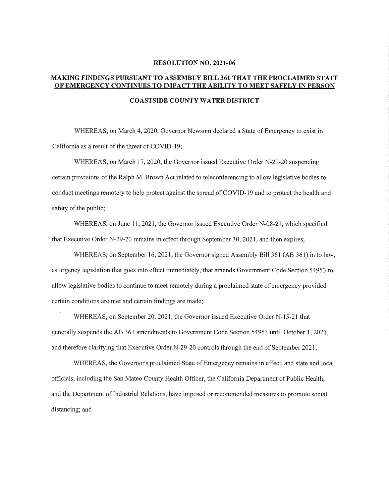#### **RESOLUTION NO. 2021-06**

### **MAKING FINDINGS PURSUANT TO ASSEMBLY BILL 361 THAT THE PROCLAIMED STATE OF EMERGENCY CONTINUES TO IMPACT THE ABILITY TO MEET SAFELY IN PERSON**

#### **COASTS IDE COUNTY WATER DISTRICT**

WHEREAS, on March 4, 2020, Governor Newsom declared a State of Emergency to exist in California as a result of the threat of COVID-19;

WHEREAS, on March 17, 2020, the Governor issued Executive Order N-29-20 suspending ceitain provisions of the Ralph M. Brown Act related to teleconferencing to allow legislative bodies to conduct meetings remotely to help protect against the spread of COVID-19 and to protect the health and safety of the public;

WHEREAS, on June 11, 2021, the Governor issued Executive Order N-08-21, which specified that Executive Order N-29-20 remains in effect through September 30, 2021, and then expires;

WHEREAS, on September 16, 2021, the Governor signed Assembly Bill 361 (AB 361) in to law, as urgency legislation that goes into effect immediately, that amends Government Code Section 54953 to allow legislative bodies to continue to meet remotely during a proclaimed state of emergency provided certain conditions are met and certain findings are made;

WHEREAS, on September 20, 2021, the Governor issued Executive Order N-15-21 that generally suspends the AB 361 amendments to Government Code Section 54953 until October 1, 2021, and therefore clarifying that Executive Order N-29-20 controls through the end of September 2021;

WHEREAS, the Governor's proclaimed State of Emergency remains in effect, and state and local officials, including the San Mateo County Health Officer, the California Depmtment of Public Health, and the Department of Industrial Relations, have imposed or recommended measures to promote social distancing; and